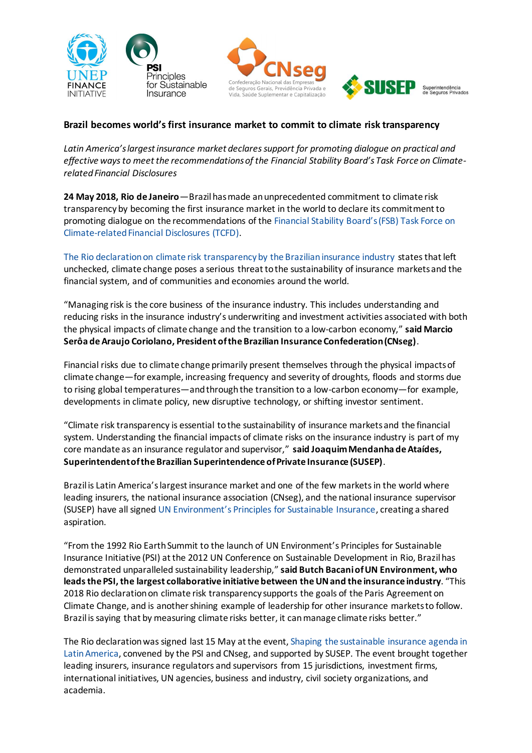





# **Brazil becomes world's first insurance market to commit to climate risk transparency**

*Latin America's largest insurance market declares support for promoting dialogue on practical and effective ways to meet the recommendations of the Financial Stability Board's Task Force on Climaterelated Financial Disclosures*

**24 May 2018, Rio de Janeiro**—Brazil has made an unprecedented commitment to climate risk transparency by becoming the first insurance market in the world to declare its commitment to promoting dialogue on the recommendations of the [Financial Stability Board's \(FSB\) Task Force on](https://www.fsb-tcfd.org/)  [Climate-related Financial Disclosures \(TCFD\).](https://www.fsb-tcfd.org/)

[The Rio declaration on climate risk transparency by the Brazilian insurance industry](http://www.unepfi.org/psi/wp-content/uploads/2018/05/Rio-declaration-on-climate-risk-transparency-English.pdf) states that left unchecked, climate change poses a serious threat to the sustainability of insurance markets and the financial system, and of communities and economies around the world.

"Managing risk is the core business of the insurance industry. This includes understanding and reducing risks in the insurance industry's underwriting and investment activities associated with both the physical impacts of climate change and the transition to a low-carbon economy," **said Marcio Serôa de Araujo Coriolano, President of the Brazilian Insurance Confederation (CNseg)**.

Financial risks due to climate change primarily present themselves through the physical impacts of climate change—for example, increasing frequency and severity of droughts, floods and storms due to rising global temperatures—and through the transition to a low-carbon economy—for example, developments in climate policy, new disruptive technology, or shifting investor sentiment.

"Climate risk transparency is essential to the sustainability of insurance markets and the financial system. Understanding the financial impacts of climate risks on the insurance industry is part of my core mandate as an insurance regulator and supervisor," **said Joaquim Mendanha de Ataídes, Superintendent of the Brazilian Superintendence of Private Insurance (SUSEP)**.

Brazil is Latin America's largest insurance market and one of the few markets in the world where leading insurers, the national insurance association (CNseg), and the national insurance supervisor (SUSEP) have all signed [UN Environment's Principles for Sustainable Insurance](http://www.unepfi.org/psi), creating a shared aspiration.

"From the 1992 Rio Earth Summit to the launch of UN Environment's Principles for Sustainable Insurance Initiative (PSI) at the 2012 UN Conference on Sustainable Development in Rio, Brazil has demonstrated unparalleled sustainability leadership," **said Butch Bacani of UN Environment, who leads the PSI, the largest collaborative initiative between the UN and the insurance industry**. "This 2018 Rio declaration on climate risk transparency supports the goals of the Paris Agreement on Climate Change, and is another shining example of leadership for other insurance markets to follow. Brazil is saying that by measuring climate risks better, it can manage climate risks better."

The Rio declaration was signed last 15 May at the event[, Shaping the sustainable insurance agenda in](http://www.unepfi.org/psi/psi-cnseg-event/)  [Latin America,](http://www.unepfi.org/psi/psi-cnseg-event/) convened by the PSI and CNseg, and supported by SUSEP. The event brought together leading insurers, insurance regulators and supervisors from 15 jurisdictions, investment firms, international initiatives, UN agencies, business and industry, civil society organizations, and academia.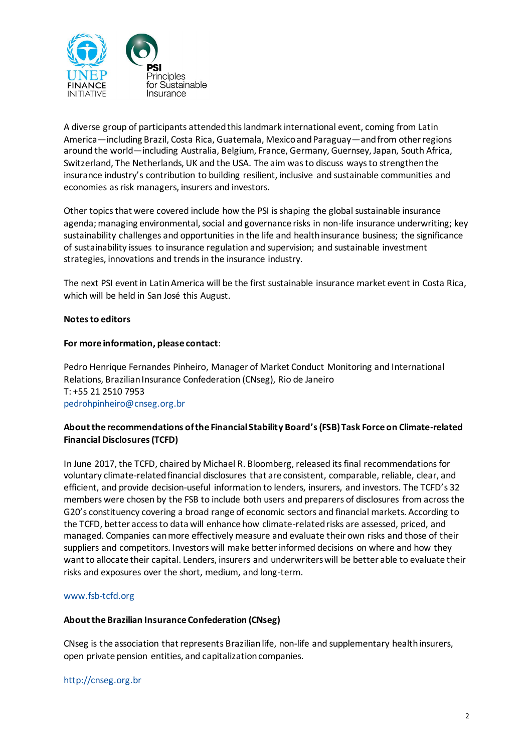

A diverse group of participants attended this landmark international event, coming from Latin America—including Brazil, Costa Rica, Guatemala, Mexico and Paraguay—and from other regions around the world—including Australia, Belgium, France, Germany, Guernsey, Japan, South Africa, Switzerland, The Netherlands, UK and the USA. The aim was to discuss ways to strengthen the insurance industry's contribution to building resilient, inclusive and sustainable communities and economies as risk managers, insurers and investors.

Other topics that were covered include how the PSI is shaping the global sustainable insurance agenda; managing environmental, social and governance risks in non-life insurance underwriting; key sustainability challenges and opportunities in the life and health insurance business; the significance of sustainability issues to insurance regulation and supervision; and sustainable investment strategies, innovations and trends in the insurance industry.

The next PSI event in Latin America will be the first sustainable insurance market event in Costa Rica, which will be held in San José this August.

### **Notes to editors**

### **For more information, please contact**:

Pedro Henrique Fernandes Pinheiro, Manager of Market Conduct Monitoring and International Relations, Brazilian Insurance Confederation (CNseg), Rio de Janeiro T: +55 21 2510 7953 [pedrohpinheiro@cnseg.org.br](mailto:pedrohpinheiro@cnseg.org.br)

# **About the recommendations of the Financial Stability Board's (FSB) Task Force on Climate-related Financial Disclosures (TCFD)**

In June 2017, the TCFD, chaired by Michael R. Bloomberg, released its final recommendations for voluntary climate-related financial disclosures that are consistent, comparable, reliable, clear, and efficient, and provide decision-useful information to lenders, insurers, and investors. The TCFD's 32 members were chosen by the FSB to include both users and preparers of disclosures from across the G20's constituency covering a broad range of economic sectors and financial markets. According to the TCFD, better access to data will enhance how climate-related risks are assessed, priced, and managed. Companies can more effectively measure and evaluate their own risks and those of their suppliers and competitors. Investors will make better informed decisions on where and how they want to allocate their capital. Lenders, insurers and underwriters will be better able to evaluate their risks and exposures over the short, medium, and long-term.

#### [www.fsb-tcfd.org](http://www.fsb-tcfd.org/)

#### **About the Brazilian Insurance Confederation (CNseg)**

CNseg is the association that represents Brazilian life, non-life and supplementary health insurers, open private pension entities, and capitalization companies.

[http://cnseg.org.br](http://cnseg.org.br/)